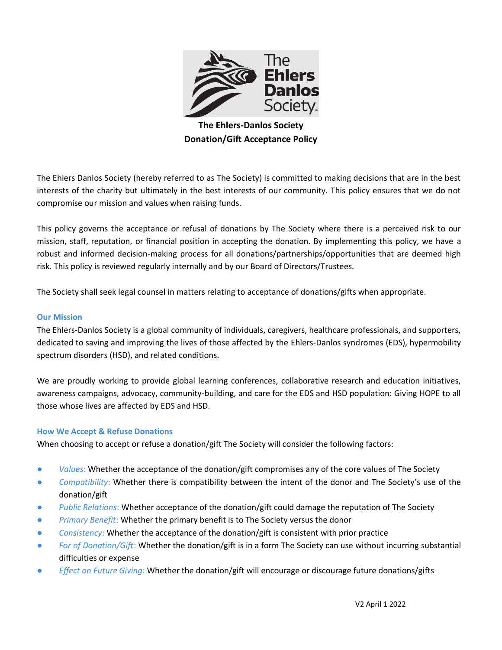

**The Ehlers-Danlos Society Donation/Gift Acceptance Policy**

The Ehlers Danlos Society (hereby referred to as The Society) is committed to making decisions that are in the best interests of the charity but ultimately in the best interests of our community. This policy ensures that we do not compromise our mission and values when raising funds.

This policy governs the acceptance or refusal of donations by The Society where there is a perceived risk to our mission, staff, reputation, or financial position in accepting the donation. By implementing this policy, we have a robust and informed decision-making process for all donations/partnerships/opportunities that are deemed high risk. This policy is reviewed regularly internally and by our Board of Directors/Trustees.

The Society shall seek legal counsel in matters relating to acceptance of donations/gifts when appropriate.

#### **Our Mission**

The Ehlers-Danlos Society is a global community of individuals, caregivers, healthcare professionals, and supporters, dedicated to saving and improving the lives of those affected by the Ehlers-Danlos syndromes (EDS), hypermobility spectrum disorders (HSD), and related conditions.

We are proudly working to provide global learning conferences, collaborative research and education initiatives, awareness campaigns, advocacy, community-building, and care for the EDS and HSD population: Giving HOPE to all those whose lives are affected by EDS and HSD.

### **How We Accept & Refuse Donations**

When choosing to accept or refuse a donation/gift The Society will consider the following factors:

- *Values*: Whether the acceptance of the donation/gift compromises any of the core values of The Society
- *Compatibility*: Whether there is compatibility between the intent of the donor and The Society's use of the donation/gift
- Public Relations: Whether acceptance of the donation/gift could damage the reputation of The Society
- Primary Benefit: Whether the primary benefit is to The Society versus the donor
- Consistency: Whether the acceptance of the donation/gift is consistent with prior practice
- *For of Donation/Gift*: Whether the donation/gift is in a form The Society can use without incurring substantial difficulties or expense
- *Effect on Future Giving:* Whether the donation/gift will encourage or discourage future donations/gifts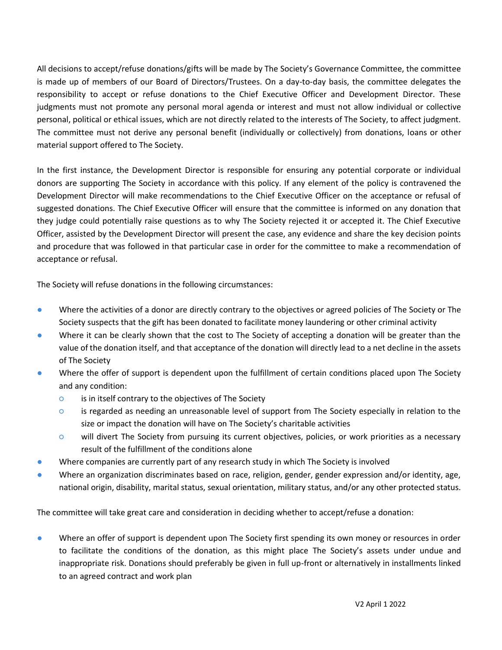All decisions to accept/refuse donations/gifts will be made by The Society's Governance Committee, the committee is made up of members of our Board of Directors/Trustees. On a day-to-day basis, the committee delegates the responsibility to accept or refuse donations to the Chief Executive Officer and Development Director. These judgments must not promote any personal moral agenda or interest and must not allow individual or collective personal, political or ethical issues, which are not directly related to the interests of The Society, to affect judgment. The committee must not derive any personal benefit (individually or collectively) from donations, loans or other material support offered to The Society.

In the first instance, the Development Director is responsible for ensuring any potential corporate or individual donors are supporting The Society in accordance with this policy. If any element of the policy is contravened the Development Director will make recommendations to the Chief Executive Officer on the acceptance or refusal of suggested donations. The Chief Executive Officer will ensure that the committee is informed on any donation that they judge could potentially raise questions as to why The Society rejected it or accepted it. The Chief Executive Officer, assisted by the Development Director will present the case, any evidence and share the key decision points and procedure that was followed in that particular case in order for the committee to make a recommendation of acceptance or refusal.

The Society will refuse donations in the following circumstances:

- Where the activities of a donor are directly contrary to the objectives or agreed policies of The Society or The Society suspects that the gift has been donated to facilitate money laundering or other criminal activity
- Where it can be clearly shown that the cost to The Society of accepting a donation will be greater than the value of the donation itself, and that acceptance of the donation will directly lead to a net decline in the assets of The Society
- Where the offer of support is dependent upon the fulfillment of certain conditions placed upon The Society and any condition:
	- is in itself contrary to the objectives of The Society
	- is regarded as needing an unreasonable level of support from The Society especially in relation to the size or impact the donation will have on The Society's charitable activities
	- will divert The Society from pursuing its current objectives, policies, or work priorities as a necessary result of the fulfillment of the conditions alone
- Where companies are currently part of any research study in which The Society is involved
- Where an organization discriminates based on race, religion, gender, gender expression and/or identity, age, national origin, disability, marital status, sexual orientation, military status, and/or any other protected status.

The committee will take great care and consideration in deciding whether to accept/refuse a donation:

Where an offer of support is dependent upon The Society first spending its own money or resources in order to facilitate the conditions of the donation, as this might place The Society's assets under undue and inappropriate risk. Donations should preferably be given in full up-front or alternatively in installments linked to an agreed contract and work plan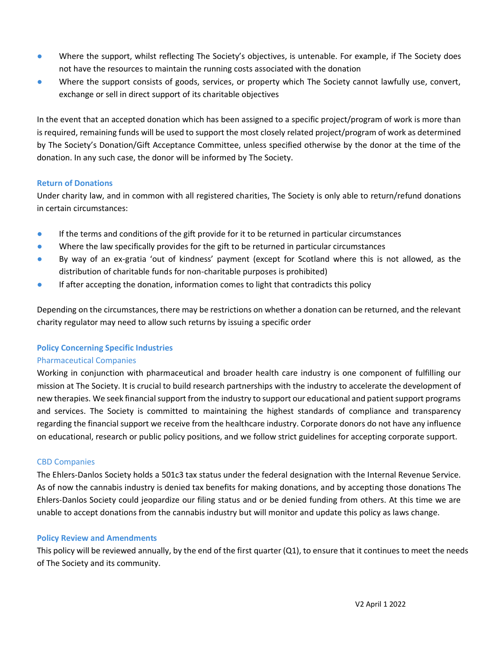- Where the support, whilst reflecting The Society's objectives, is untenable. For example, if The Society does not have the resources to maintain the running costs associated with the donation
- Where the support consists of goods, services, or property which The Society cannot lawfully use, convert, exchange or sell in direct support of its charitable objectives

In the event that an accepted donation which has been assigned to a specific project/program of work is more than is required, remaining funds will be used to support the most closely related project/program of work as determined by The Society's Donation/Gift Acceptance Committee, unless specified otherwise by the donor at the time of the donation. In any such case, the donor will be informed by The Society.

# **Return of Donations**

Under charity law, and in common with all registered charities, The Society is only able to return/refund donations in certain circumstances:

- **•** If the terms and conditions of the gift provide for it to be returned in particular circumstances
- Where the law specifically provides for the gift to be returned in particular circumstances
- By way of an ex-gratia 'out of kindness' payment (except for Scotland where this is not allowed, as the distribution of charitable funds for non-charitable purposes is prohibited)
- **•** If after accepting the donation, information comes to light that contradicts this policy

Depending on the circumstances, there may be restrictions on whether a donation can be returned, and the relevant charity regulator may need to allow such returns by issuing a specific order

# **Policy Concerning Specific Industries**

### Pharmaceutical Companies

Working in conjunction with pharmaceutical and broader health care industry is one component of fulfilling our mission at The Society. It is crucial to build research partnerships with the industry to accelerate the development of new therapies. We seek financial support from the industry to support our educational and patient support programs and services. The Society is committed to maintaining the highest standards of compliance and transparency regarding the financial support we receive from the healthcare industry. Corporate donors do not have any influence on educational, research or public policy positions, and we follow strict guidelines for accepting corporate support.

### CBD Companies

The Ehlers-Danlos Society holds a 501c3 tax status under the federal designation with the Internal Revenue Service. As of now the cannabis industry is denied tax benefits for making donations, and by accepting those donations The Ehlers-Danlos Society could jeopardize our filing status and or be denied funding from others. At this time we are unable to accept donations from the cannabis industry but will monitor and update this policy as laws change.

### **Policy Review and Amendments**

This policy will be reviewed annually, by the end of the first quarter (Q1), to ensure that it continues to meet the needs of The Society and its community.